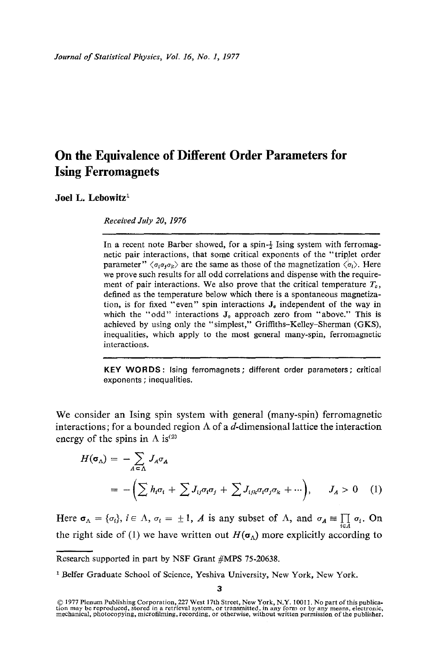# **On the Equivalence of Different Order Parameters for Ising Ferromagnets**

## **Joel L. Lebowitz<sup>1</sup>**

*Received duly 20, 1976* 

In a recent note Barber showed, for a spin- $\frac{1}{2}$  Ising system with ferromagnetic pair interactions, that some critical exponents of the "triplet order parameter"  $\langle \sigma_i \sigma_j \sigma_k \rangle$  are the same as those of the magnetization  $\langle \sigma_i \rangle$ . Here we prove such results for all odd correlations and dispense with the requirement of pair interactions. We also prove that the critical temperature  $T_c$ , defined as the temperature below which there is a spontaneous magnetization, is for fixed "even" spin interactions  $J_{\epsilon}$  independent of the way in which the "odd" interactions  $J_0$  approach zero from "above." This is achieved by using only the "simplest," Griffiths-Kelley-Sherman (GKS), inequalities, which apply to the most general many-spin, ferromagnetic interactions.

**KEY WORDS: Ising ferromagnets; different** order parameters; **critical**  exponents **; inequalities.** 

We consider an Ising spin system with general (many-spin) ferromagnetic interactions; for a bounded region  $\Lambda$  of a d-dimensional lattice the interaction energy of the spins in  $\Lambda$  is<sup>(2)</sup>

$$
H(\sigma_{\Delta}) = -\sum_{A \in \Delta} J_A \sigma_A
$$
  
= -(\sum h\_i \sigma\_i + \sum J\_{ij} \sigma\_i \sigma\_j + \sum J\_{ijk} \sigma\_i \sigma\_j \sigma\_k + \cdots), \quad J\_A > 0 \quad (1)

Here  $\sigma_{\Lambda} = {\sigma_i}$ ,  $i \in {\Lambda}$ ,  $\sigma_i = \pm 1$ , A is any subset of  ${\Lambda}$ , and  $\sigma_A \equiv \prod_{i \in A} \sigma_i$ . On the right side of (1) we have written out  $H(\sigma_{\Lambda})$  more explicitly according to

Research supported in part by NSF Grant #MPS 75-20638.

<sup>&</sup>lt;sup>1</sup> Belfer Graduate School of Science, Yeshiva University, New York, New York.

<sup>© 1977</sup> Plenum Publishing Corporation, 227 West 17th Street, New York, N.Y. 10011. No part of this publica-<br>tion may be reproduced, stored in a retrieval system, or transmitted, in any form or by any means, electronic,<br>mech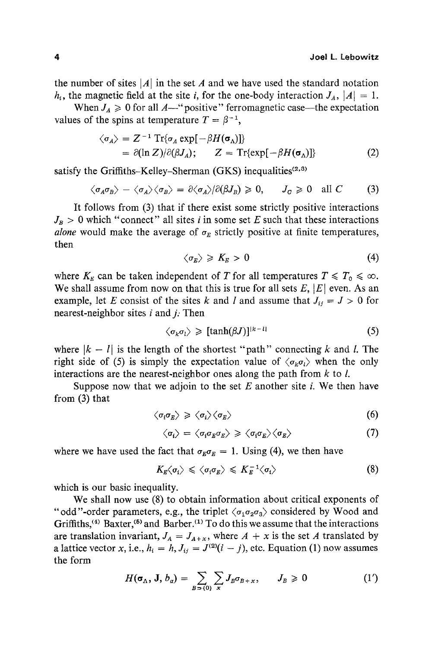the number of sites  $|A|$  in the set A and we have used the standard notation  $h_i$ , the magnetic field at the site i, for the one-body interaction  $J_A$ ,  $|A| = 1$ .

When  $J_A \geq 0$  for all A--"positive" ferromagnetic case---the expectation values of the spins at temperature  $T = \beta^{-1}$ ,

$$
\langle \sigma_A \rangle = Z^{-1} \operatorname{Tr} \{ \sigma_A \exp[-\beta H(\sigma_A)] \}
$$
  
=  $\partial (\ln Z) / \partial (\beta J_A); \qquad Z = \operatorname{Tr} \{ \exp[-\beta H(\sigma_A)] \}$  (2)

satisfy the Griffiths-Kelley-Sherman (GKS) inequalities $(2,3)$ 

$$
\langle \sigma_A \sigma_B \rangle - \langle \sigma_A \rangle \langle \sigma_B \rangle = \partial \langle \sigma_A \rangle / \partial (\beta J_B) \geq 0, \quad J_C \geq 0 \quad \text{all } C \tag{3}
$$

It follows from (3) that if there exist some strictly positive interactions  $J_B > 0$  which "connect" all sites *i* in some set E such that these interactions *alone* would make the average of  $\sigma_E$  strictly positive at finite temperatures, then

$$
\langle \sigma_E \rangle \geqslant K_E > 0 \tag{4}
$$

where  $K_E$  can be taken independent of T for all temperatures  $T \leq T_0 \leq \infty$ . We shall assume from now on that this is true for all sets  $E$ ,  $|E|$  even. As an example, let E consist of the sites k and l and assume that  $J_{ii} = J > 0$  for nearest-neighbor sites  $i$  and  $j$ . Then

$$
\langle \sigma_k \sigma_l \rangle \geqslant [tanh(\beta J)]^{|k-l|} \tag{5}
$$

where  $|k - l|$  is the length of the shortest "path" connecting k and l. The right side of (5) is simply the expectation value of  $\langle \sigma_k \sigma_l \rangle$  when the only interactions are the nearest-neighbor ones along the path from  $k$  to  $l$ .

Suppose now that we adjoin to the set  $E$  another site  $i$ . We then have from (3) that

$$
\langle \sigma_i \sigma_E \rangle \geqslant \langle \sigma_i \rangle \langle \sigma_E \rangle \tag{6}
$$

$$
\langle \sigma_i \rangle = \langle \sigma_i \sigma_E \sigma_E \rangle \geqslant \langle \sigma_i \sigma_E \rangle \langle \sigma_E \rangle \tag{7}
$$

where we have used the fact that  $\sigma_E \sigma_E = 1$ . Using (4), we then have

$$
K_{E}\langle \sigma_{i}\rangle \leqslant \langle \sigma_{i}\sigma_{E}\rangle \leqslant K_{E}^{-1}\langle \sigma_{i}\rangle \tag{8}
$$

which is our basic inequality.

We shall now use (8) to obtain information about critical exponents of "odd"-order parameters, e.g., the triplet  $\langle \sigma_1 \sigma_2 \sigma_3 \rangle$  considered by Wood and Griffiths,  $(4)$  Baxter,  $(5)$  and Barber.  $(1)$  To do this we assume that the interactions are translation invariant,  $J_A = J_{A+x}$ , where  $A + x$  is the set A translated by a lattice vector x, i.e.,  $h_i = h$ ,  $J_{ij} = J^{(2)}(i - j)$ , etc. Equation (1) now assumes the form

$$
H(\sigma_{\Lambda}, \mathbf{J}, b_{\alpha}) = \sum_{B \supset \{0\}} \sum_{x} J_B \sigma_{B+x}, \qquad J_B \geq 0 \tag{1'}
$$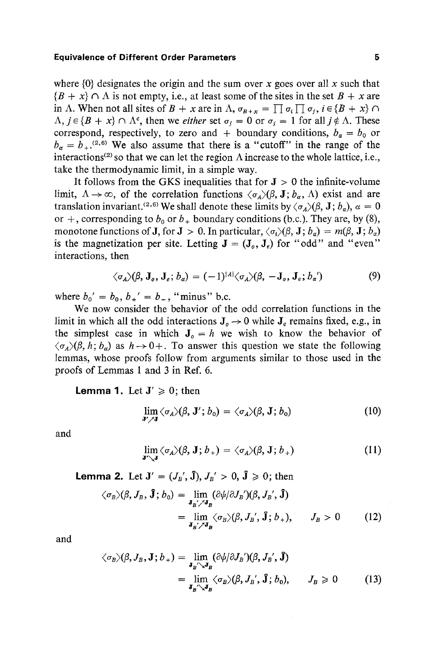#### **Equivalence of Different Order Parameters 5**

where  $\{0\}$  designates the origin and the sum over x goes over all x such that  ${B + x} \cap \Lambda$  is not empty, i.e., at least some of the sites in the set  $B + x$  are in A. When not all sites of  $B + x$  are in  $\Lambda$ ,  $\sigma_{B+x} = \prod \sigma_i \prod \sigma_i$ ,  $i \in \{B + x\} \cap$  $\Lambda$ ,  $j \in \{B + x\} \cap \Lambda^c$ , then we *either* set  $\sigma_i = 0$  or  $\sigma_i = 1$  for all  $j \notin \Lambda$ . These correspond, respectively, to zero and + boundary conditions,  $b_{\alpha} = b_0$  or  $b_{\alpha} = b_{+}$ .<sup>(2,6)</sup> We also assume that there is a "cutoff" in the range of the interactions<sup>(2)</sup> so that we can let the region  $\Lambda$  increase to the whole lattice, i.e., take the thermodynamic limit, in a simple way.

It follows from the GKS inequalities that for  $J > 0$  the infinite-volume limit,  $\Lambda \to \infty$ , of the correlation functions  $\langle \sigma_A \rangle (\beta, \mathbf{J}; b_\alpha, \Lambda)$  exist and are translation invariant.<sup>(2,6)</sup> We shall denote these limits by  $\langle \sigma_A \rangle (\beta, J; b_\alpha)$ ,  $\alpha = 0$ or +, corresponding to  $b_0$  or  $b_+$  boundary conditions (b.c.). They are, by (8), monotone functions of **J**, for **J** > 0. In particular,  $\langle \sigma_i \rangle (\beta, \mathbf{J}; b_\alpha) = m(\beta, \mathbf{J}; b_\alpha)$ is the magnetization per site. Letting  $J = (J_0, J_0)$  for "odd" and "even" interactions, then

$$
\langle \sigma_A \rangle (\beta, \mathbf{J}_o, \mathbf{J}_e; b_\alpha) = (-1)^{|A|} \langle \sigma_A \rangle (\beta, -\mathbf{J}_o, \mathbf{J}_e; b_\alpha')
$$
 (9)

where  $b_0' = b_0, b_+' = b_-$ , "minus" b.c.

We now consider the behavior of the odd correlation functions in the limit in which all the odd interactions  $J_0 \rightarrow 0$  while  $J_e$  remains fixed, e.g., in the simplest case in which  $J_0 = h$  we wish to know the behavior of  $\langle \sigma_A \rangle (\beta, h; b_\alpha)$  as  $h \rightarrow 0+$ . To answer this question we state the following lemmas, whose proofs follow from arguments similar to those used in the proofs of Lemmas 1 and 3 in Ref. 6.

**Lemma 1.** Let  $J' \ge 0$ ; then

$$
\lim_{\mathbf{J}' \nearrow \mathbf{J}} \langle \sigma_A \rangle (\beta, \mathbf{J}'; b_0) = \langle \sigma_A \rangle (\beta, \mathbf{J}; b_0)
$$
 (10)

and

$$
\lim_{\mathbf{J}'\searrow\mathbf{J}}\langle\sigma_{A}\rangle(\beta,\mathbf{J};b_{+})=\langle\sigma_{A}\rangle(\beta,\mathbf{J};b_{+})
$$
\n(11)

**Lemma 2.** Let  $J' = (J_{B}', \hat{J}), J_{B}' > 0, \hat{J} \ge 0$ ; then

$$
\langle \sigma_B \rangle (\beta, J_B, \mathbf{\hat{J}}; b_0) = \lim_{\mathbf{J}_B / \mathcal{J}_B} (\partial \psi / \partial J_B') (\beta, J_B', \mathbf{\hat{J}})
$$
  
= 
$$
\lim_{\mathbf{J}_B / \mathcal{J}_B} \langle \sigma_B \rangle (\beta, J_B', \mathbf{\hat{J}}; b_+), \qquad J_B > 0 \tag{12}
$$

and

$$
\langle \sigma_B \rangle (\beta, J_B, \mathbf{J}; b_+) = \lim_{\mathbf{J}_B \cap \mathbf{J}_B} (\partial \psi / \partial J_B') (\beta, J_B', \mathbf{\hat{J}})
$$
  
= 
$$
\lim_{\mathbf{J}_B \cap \mathbf{J}_B} \langle \sigma_B \rangle (\beta, J_B', \mathbf{\hat{J}}; b_0), \qquad J_B \geq 0
$$
 (13)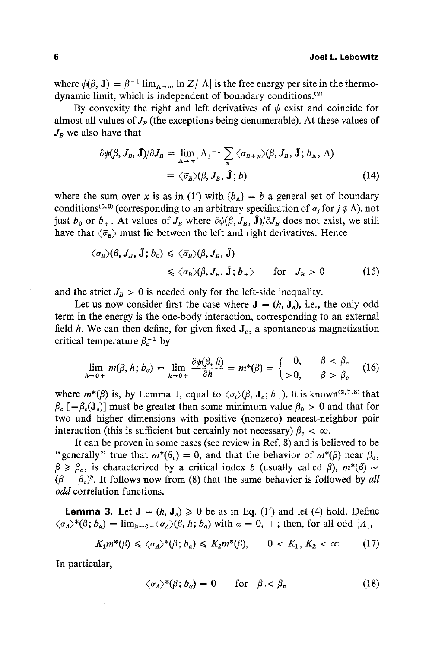where  $\psi(\beta, J) = \beta^{-1} \lim_{\Delta \to \infty} \ln Z / |\Lambda|$  is the free energy per site in the thermodynamic limit, which is independent of boundary conditions.<sup>(2)</sup>

By convexity the right and left derivatives of  $\psi$  exist and coincide for almost all values of  $J_B$  (the exceptions being denumerable). At these values of  $J_B$  we also have that

$$
\partial \psi(\beta, J_B, \mathbf{\hat{J}})/\partial J_B = \lim_{\Delta \to \infty} |\Lambda|^{-1} \sum_{\mathbf{x}} \langle \sigma_{B+x} \rangle(\beta, J_B, \mathbf{\hat{J}}; b_{\Delta}, \Lambda)
$$
  

$$
\equiv \langle \bar{\sigma}_B \rangle(\beta, J_B, \mathbf{\hat{J}}; b)
$$
(14)

where the sum over x is as in (1') with  ${b<sub>A</sub>} = b$  a general set of boundary conditions<sup>(6,8)</sup> (corresponding to an arbitrary specification of  $\sigma_j$  for  $j \notin \Lambda$ ), not just  $b_0$  or  $b_+$ . At values of  $J_B$  where  $\partial \psi(\beta, J_B, \mathbf{\hat{J}})/\partial J_B$  does not exist, we still have that  $\langle \bar{\sigma}_R \rangle$  must lie between the left and right derivatives. Hence

$$
\langle \sigma_B \rangle (\beta, J_B, \hat{\mathbf{J}}; b_0) \leq \langle \bar{\sigma}_B \rangle (\beta, J_B, \hat{\mathbf{J}})
$$
  
 
$$
\leq \langle \sigma_B \rangle (\beta, J_B, \hat{\mathbf{J}}; b_+) \quad \text{for} \quad J_B > 0 \tag{15}
$$

and the strict  $J_B > 0$  is needed only for the left-side inequality.

Let us now consider first the case where  $J = (h, J_e)$ , i.e., the only odd term in the energy is the one-body interaction, corresponding to an external field h. We can then define, for given fixed  $J_e$ , a spontaneous magnetization critical temperature  $\beta_c^{-1}$  by

$$
\lim_{h \to 0+} m(\beta, h; b_{\alpha}) = \lim_{h \to 0+} \frac{\partial \psi(\beta, h)}{\partial h} = m^*(\beta) = \begin{cases} 0, & \beta < \beta_c \\ >0, & \beta > \beta_c \end{cases} (16)
$$

where  $m^*(\beta)$  is, by Lemma 1, equal to  $\langle \sigma_i \rangle (\beta, J_{\varepsilon}; b_+)$ . It is known<sup>(2,7,8)</sup> that  $\beta_c$  [= $\beta_c$ (J<sub>e</sub>)] must be greater than some minimum value  $\beta_0 > 0$  and that for two and higher dimensions with positive (nonzero) nearest-neighbor pair interaction (this is sufficient but certainly not necessary)  $\beta_c < \infty$ .

It can be proven in some cases (see review in Ref. 8) and is believed to be "generally" true that  $m^*(\beta_c) = 0$ , and that the behavior of  $m^*(\beta)$  near  $\beta_c$ ,  $\beta \ge \beta_c$ , is characterized by a critical index b (usually called  $\beta$ ),  $m^*(\beta) \sim$  $(\beta - \beta_c)^b$ . It follows now from (8) that the same behavior is followed by *all odd* correlation functions.

**Lemma 3.** Let  $J = (h, J_e) \ge 0$  be as in Eq. (1') and let (4) hold. Define  $\langle \sigma_A \rangle^*(\beta; b_\alpha) = \lim_{h \to 0+} \langle \sigma_A \rangle(\beta, h; b_\alpha)$  with  $\alpha = 0, +$ ; then, for all odd |A|,

$$
K_1 m^*(\beta) \leq \langle \sigma_A \rangle^*(\beta; b_\alpha) \leqslant K_2 m^*(\beta), \qquad 0 < K_1, K_2 < \infty \tag{17}
$$

In particular,

$$
\langle \sigma_A \rangle^* (\beta; b_\alpha) = 0 \quad \text{for} \quad \beta < \beta_c \tag{18}
$$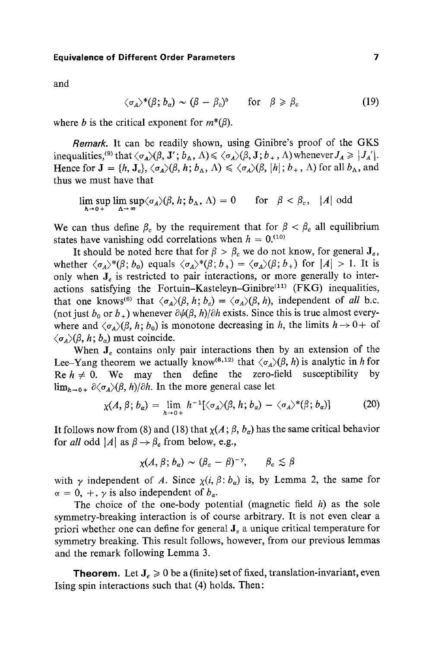## **Equivalence of Different Order Parameters 7**

and

$$
\langle \sigma_A \rangle^* (\beta; b_\alpha) \sim (\beta - \beta_c)^b \quad \text{for} \quad \beta \geq \beta_c \tag{19}
$$

where *b* is the critical exponent for  $m^*(\beta)$ .

*Remark.* It can be readily shown, using Ginibre's proof of the GKS inequalities, (9) that  $\langle \sigma_A \rangle (\beta, \mathbf{J}'; b_A, \Lambda) \leq \langle \sigma_A \rangle (\beta, \mathbf{J}; b_+, \Lambda)$  whenever  $J_A \geq |J_A'|$ . Hence for  $J = \{h, J_e\}, \langle \sigma_A \rangle (\beta, h; b_\Lambda, \Lambda) \leq \langle \sigma_A \rangle (\beta, |h|; b_+, \Lambda)$  for all  $b_\Lambda$ , and thus we must have that

 $\lim_{h\to 0+} \sup_{\Delta\to \infty} \langle \sigma_A \rangle (\beta, h; b_\Delta, \Lambda) = 0$  for  $\beta < \beta_c$ , |A| odd

We can thus define  $\beta_c$  by the requirement that for  $\beta < \beta_c$  all equilibrium states have vanishing odd correlations when  $h = 0$ .<sup>(10)</sup>

It should be noted here that for  $\beta > \beta_c$  we do not know, for general  $J_e$ , whether  $\langle \sigma_A \rangle^* (\beta; b_0)$  equals  $\langle \sigma_A \rangle^* (\beta; b_+) = \langle \sigma_A \rangle (\beta; b_+)$  for  $|A| > 1$ . It is only when  $J_{\rho}$  is restricted to pair interactions, or more generally to interactions satisfying the Fortuin-Kasteleyn-Ginibre<sup>(11)</sup> (FKG) inequalities, that one knows<sup>(6)</sup> that  $\langle \sigma_A \rangle (\beta, h; b_e) = \langle \sigma_A \rangle (\beta, h)$ , independent of *all* b.c. (not just  $b_0$  or  $b_+$ ) whenever  $\partial \psi(\beta, h)/\partial h$  exists. Since this is true almost everywhere and  $\langle \sigma_4 \rangle (\beta, h; b_0)$  is monotone decreasing in *h*, the limits  $h \rightarrow 0^+$  of  $\langle \sigma_A \rangle (\beta, h; b_\alpha)$  must coincide.

When  $J_e$  contains only pair interactions then by an extension of the Lee-Yang theorem we actually know <sup>(8,12)</sup> that  $\langle \sigma_A \rangle (\beta, h)$  is analytic in h for Re  $h \neq 0$ . We may then define the zero-field susceptibility by  $\lim_{h\to 0+} \partial \langle \sigma_A \rangle (\beta, h) / \partial h$ . In the more general case let

$$
\chi(A,\beta;b_{\alpha})=\lim_{h\to 0+}h^{-1}[\langle\sigma_{A}\rangle(\beta,h;b_{\alpha})-\langle\sigma_{A}\rangle^{*}(\beta;b_{\alpha})]
$$
(20)

It follows now from (8) and (18) that  $\chi(A; \beta, b_{\alpha})$  has the same critical behavior for *all* odd |A| as  $\beta \rightarrow \beta_c$  from below, e.g.,

$$
\chi(A,\beta;b_{\alpha})\sim(\beta_c-\beta)^{-\gamma},\qquad\beta_c\lesssim\beta
$$

with  $\gamma$  independent of A. Since  $\chi(i, \beta: b_{\alpha})$  is, by Lemma 2, the same for  $\alpha = 0, +, \gamma$  is also independent of  $b_{\alpha}$ .

The choice of the one-body potential (magnetic field  $h$ ) as the sole symmetry-breaking interaction is of course arbitrary. It is not even clear a priori whether one can define for general  $J_e$  a unique critical temperature for symmetry breaking. This result follows, however, from our previous lemmas and the remark following Lemma 3.

**Theorem.** Let  $J_e \ge 0$  be a (finite) set of fixed, translation-invariant, even Ising spin interactions such that (4) holds. Then: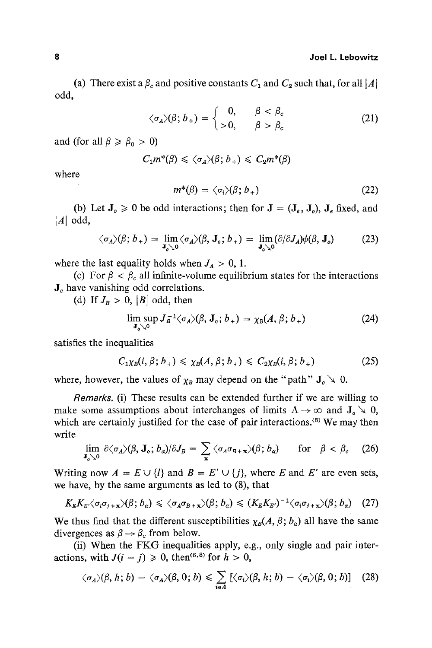#### 8 Joel L. **Lebowitz**

(a) There exist a  $\beta_c$  and positive constants  $C_1$  and  $C_2$  such that, for all  $|A|$ odd,

$$
\langle \sigma_A \rangle (\beta; b_+) = \begin{cases} 0, & \beta < \beta_c \\ > 0, & \beta > \beta_c \end{cases} \tag{21}
$$

and (for all  $\beta \ge \beta_0 > 0$ )

$$
C_1 m^*(\beta) \leq \langle \sigma_A \rangle(\beta; b_+) \leq C_2 m^*(\beta)
$$

where

$$
m^*(\beta) = \langle \sigma_i \rangle (\beta; b_+) \tag{22}
$$

(b) Let  $J_0 \ge 0$  be odd interactions; then for  $J = (J_e, J_o)$ ,  $J_e$  fixed, and  $|A|$  odd,

$$
\langle \sigma_A \rangle (\beta; b_+) = \lim_{\mathbf{J}_o \setminus \mathbf{0}} \langle \sigma_A \rangle (\beta, \mathbf{J}_o; b_+) = \lim_{\mathbf{J}_o \setminus \mathbf{0}} (\partial/\partial \mathbf{J}_A) \psi(\beta, \mathbf{J}_o) \tag{23}
$$

where the last equality holds when  $J_A > 0$ , 1.

(c) For  $\beta < \beta_c$  all infinite-volume equilibrium states for the interactions  $J_e$  have vanishing odd correlations.

(d) If  $J_B > 0$ , |B| odd, then

$$
\lim_{\mathbf{J}_{\mathbf{o}} \searrow 0} \sup J_{\mathbf{a}}^{-1} \langle \sigma_{\mathbf{a}} \rangle (\beta, \mathbf{J}_{\mathbf{o}}; b_{+}) = \chi_{\mathbf{B}}(A, \beta; b_{+}) \tag{24}
$$

satisfies the inequalities

$$
C_{1}\chi_{B}(i,\beta;b_{+})\leqslant \chi_{B}(A,\beta;b_{+})\leqslant C_{2}\chi_{B}(i,\beta;b_{+})
$$
\n(25)

where, however, the values of  $\chi_B$  may depend on the "path"  $J_0 \searrow 0$ .

*Remarks.* (i) These results can be extended further if we are willing to make some assumptions about interchanges of limits  $\Lambda \rightarrow \infty$  and  $J_o \searrow 0$ , which are certainly justified for the case of pair interactions. $(8)$  We may then write

$$
\lim_{\mathbf{J}_o \searrow 0} \partial \langle \sigma_A \rangle (\beta, \mathbf{J}_o; b_\alpha) / \partial J_B = \sum_{\mathbf{x}} \langle \sigma_A \sigma_{B+\mathbf{x}} \rangle (\beta; b_\alpha) \quad \text{for} \quad \beta < \beta_c \quad (26)
$$

Writing now  $A = E \cup \{l\}$  and  $B = E' \cup \{j\}$ , where E and E' are even sets, we have, by the same arguments as led to (8), that

$$
K_{E}K_{E'}\langle \sigma_{i}\sigma_{j+x}\rangle(\beta;b_{\alpha})\leq \langle \sigma_{A}\sigma_{B+x}\rangle(\beta;b_{\alpha})\leq (K_{E}K_{E'})^{-1}\langle \sigma_{i}\sigma_{j+x}\rangle(\beta;b_{\alpha}) \quad (27)
$$

We thus find that the different susceptibilities  $\chi_B(A,\beta;b_\alpha)$  all have the same divergences as  $\beta \rightarrow \beta_c$  from below.

(ii) When the FKG inequalities apply, e.g., only single and pair interactions, with  $J(i - j) \ge 0$ , then<sup>(6,8)</sup> for  $h > 0$ ,

$$
\langle \sigma_A \rangle (\beta, h; b) - \langle \sigma_A \rangle (\beta, 0; b) \leq \sum_{i \in A} [\langle \sigma_i \rangle (\beta, h; b) - \langle \sigma_i \rangle (\beta, 0; b)] \quad (28)
$$